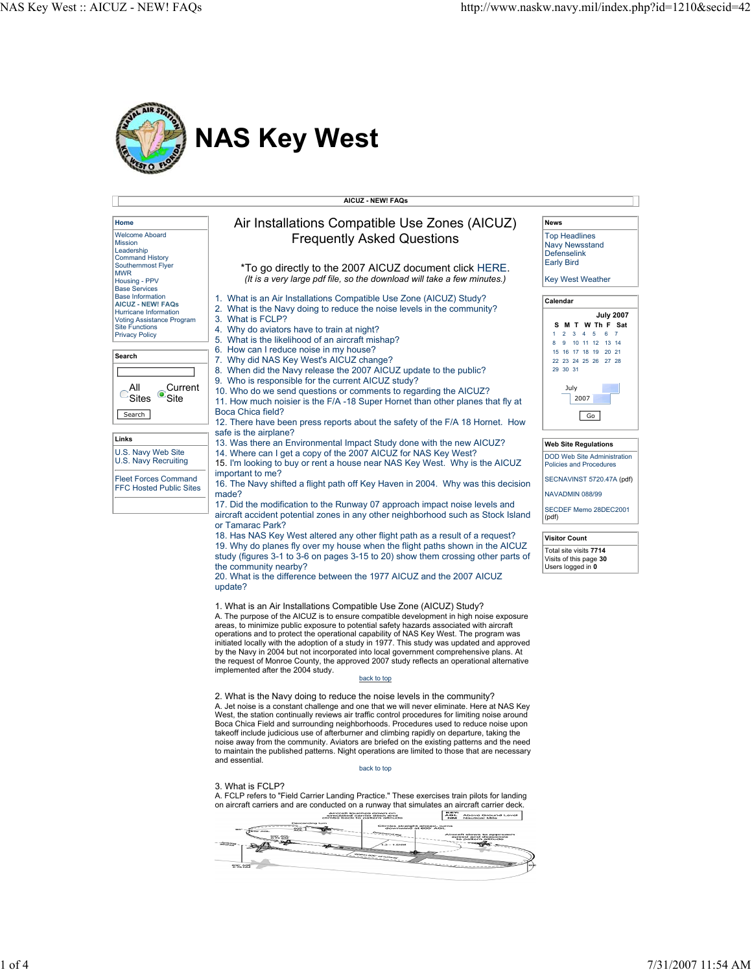

|                                                                                                                                                                                                                                  | <b>AICUZ - NEW! FAQs</b>                                                                                                                                                                                                                                                                                                                                                                                                                                                                                                                                                                                                                                                                                                                      |                                                                                                                                                                                              |
|----------------------------------------------------------------------------------------------------------------------------------------------------------------------------------------------------------------------------------|-----------------------------------------------------------------------------------------------------------------------------------------------------------------------------------------------------------------------------------------------------------------------------------------------------------------------------------------------------------------------------------------------------------------------------------------------------------------------------------------------------------------------------------------------------------------------------------------------------------------------------------------------------------------------------------------------------------------------------------------------|----------------------------------------------------------------------------------------------------------------------------------------------------------------------------------------------|
| Home                                                                                                                                                                                                                             | Air Installations Compatible Use Zones (AICUZ)                                                                                                                                                                                                                                                                                                                                                                                                                                                                                                                                                                                                                                                                                                | News                                                                                                                                                                                         |
| <b>Welcome Aboard</b><br>Mission<br>Leadership<br><b>Command History</b>                                                                                                                                                         | <b>Frequently Asked Questions</b>                                                                                                                                                                                                                                                                                                                                                                                                                                                                                                                                                                                                                                                                                                             | <b>Top Headlines</b><br><b>Navy Newsstand</b><br><b>Defenselink</b>                                                                                                                          |
| Southernmost Flyer<br><b>MWR</b><br>Housing - PPV<br><b>Base Services</b>                                                                                                                                                        | *To go directly to the 2007 AICUZ document click HERE.<br>(It is a very large pdf file, so the download will take a few minutes.)                                                                                                                                                                                                                                                                                                                                                                                                                                                                                                                                                                                                             | <b>Early Bird</b><br><b>Key West Weather</b>                                                                                                                                                 |
| <b>Base Information</b><br><b>AICUZ - NEW! FAQs</b><br>Hurricane Information<br><b>Voting Assistance Program</b><br><b>Site Functions</b><br><b>Privacy Policy</b><br>Search<br>Current<br>aii<br>Site<br><b>Sites</b><br>Search | 1. What is an Air Installations Compatible Use Zone (AICUZ) Study?<br>2. What is the Navy doing to reduce the noise levels in the community?<br>3. What is FCLP?<br>4. Why do aviators have to train at night?<br>5. What is the likelihood of an aircraft mishap?<br>6. How can I reduce noise in my house?<br>7. Why did NAS Key West's AICUZ change?<br>8. When did the Navy release the 2007 AICUZ update to the public?<br>9. Who is responsible for the current AICUZ study?<br>10. Who do we send questions or comments to regarding the AICUZ?<br>11. How much noisier is the F/A -18 Super Hornet than other planes that fly at<br>Boca Chica field?<br>12. There have been press reports about the safety of the F/A 18 Hornet. How | Calendar<br><b>July 2007</b><br>S M T W Th F Sat<br>$2 \quad 3 \quad 4$<br>567<br>1.<br>8 9 10 11 12 13 14<br>15 16 17 18 19 20 21<br>22 23 24 25 26 27 28<br>29 30 31<br>July<br>2007<br>Go |
| Links<br>U.S. Navy Web Site                                                                                                                                                                                                      | safe is the airplane?<br>13. Was there an Environmental Impact Study done with the new AICUZ?<br>14. Where can I get a copy of the 2007 AICUZ for NAS Key West?                                                                                                                                                                                                                                                                                                                                                                                                                                                                                                                                                                               | <b>Web Site Regulations</b><br><b>DOD Web Site Administration</b>                                                                                                                            |
| U.S. Navy Recruiting<br><b>Fleet Forces Command</b><br><b>FFC Hosted Public Sites</b>                                                                                                                                            | 15. I'm looking to buy or rent a house near NAS Key West. Why is the AICUZ<br>important to me?<br>16. The Navy shifted a flight path off Key Haven in 2004. Why was this decision<br>made?<br>17. Did the modification to the Runway 07 approach impact noise levels and<br>aircraft accident potential zones in any other neighborhood such as Stock Island<br>or Tamarac Park?<br>18. Has NAS Key West altered any other flight path as a result of a reguest?<br>19. Why do planes fly over my house when the flight paths shown in the AICUZ                                                                                                                                                                                              | <b>Policies and Procedures</b><br>SECNAVINST 5720.47A (pdf)<br>NAVADMIN 088/99<br>SECDEF Memo 28DEC2001<br>(pdf)<br><b>Visitor Count</b><br>Total site visits 7714                           |
|                                                                                                                                                                                                                                  | study (figures 3-1 to 3-6 on pages 3-15 to 20) show them crossing other parts of<br>the community nearby?<br>20. What is the difference between the 1977 AICUZ and the 2007 AICUZ<br>update?<br>1. What is an Air Installations Compatible Use Zone (AICUZ) Study?<br>A. The purpose of the AICUZ is to ensure compatible development in high noise exposure<br>areas, to minimize public exposure to potential safety hazards associated with aircraft                                                                                                                                                                                                                                                                                       | Visits of this page 30<br>Users logged in 0                                                                                                                                                  |
|                                                                                                                                                                                                                                  | operations and to protect the operational capability of NAS Key West. The program was<br>initiated locally with the adoption of a study in 1977. This study was updated and approved<br>by the Navy in 2004 but not incorporated into local government comprehensive plans. At<br>the request of Monroe County, the approved 2007 study reflects an operational alternative<br>implemented after the 2004 study.<br>back to top                                                                                                                                                                                                                                                                                                               |                                                                                                                                                                                              |
|                                                                                                                                                                                                                                  | 2. What is the Navy doing to reduce the noise levels in the community?<br>A. Jet noise is a constant challenge and one that we will never eliminate. Here at NAS Key<br>West, the station continually reviews air traffic control procedures for limiting noise around<br>Boca Chica Field and surrounding neighborhoods. Procedures used to reduce noise upon<br>takeoff include judicious use of afterburner and climbing rapidly on departure, taking the<br>noise away from the community. Aviators are briefed on the existing patterns and the need<br>to maintain the published patterns. Night operations are limited to those that are necessary<br>and essential.                                                                   |                                                                                                                                                                                              |
|                                                                                                                                                                                                                                  | back to top<br>3. What is FCLP?<br>A. FCLP refers to "Field Carrier Landing Practice." These exercises train pilots for landing<br>on aircraft carriers and are conducted on a runway that simulates an aircraft carrier deck.<br><b>KEY:</b><br>AGL Above Ground Level<br>NM Nautical Mile<br>ia down on<br>ar deck and<br>allern allinude                                                                                                                                                                                                                                                                                                                                                                                                   |                                                                                                                                                                                              |
|                                                                                                                                                                                                                                  | 800, AGE                                                                                                                                                                                                                                                                                                                                                                                                                                                                                                                                                                                                                                                                                                                                      |                                                                                                                                                                                              |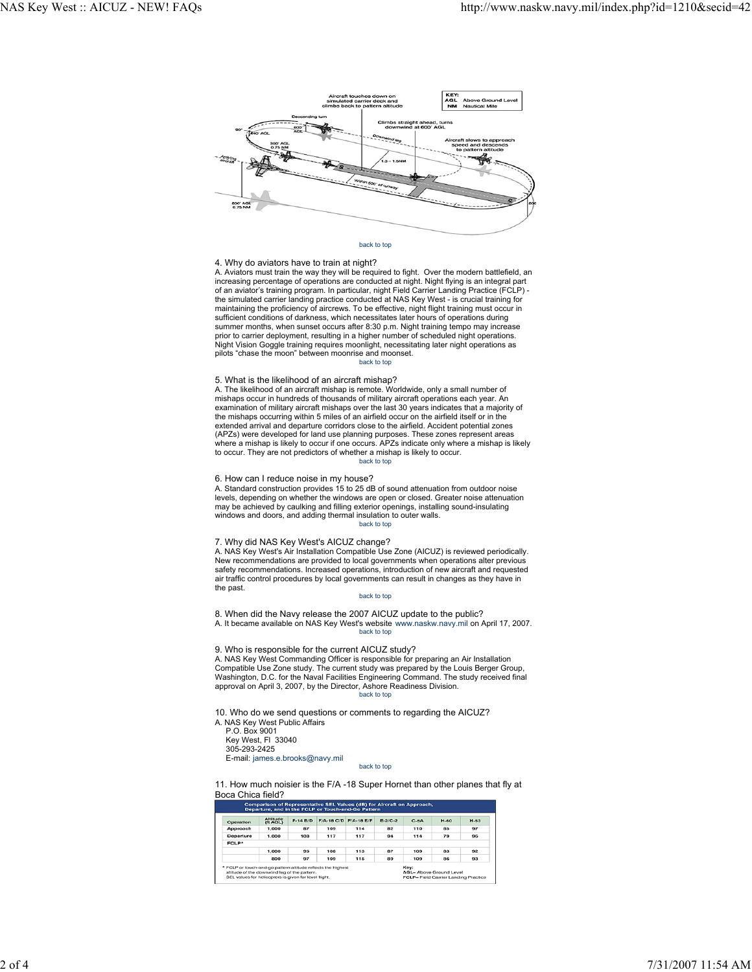

# back to top

## 4. Why do aviators have to train at night?

A. Aviators must train the way they will be required to fight. Over the modern battlefield, an increasing percentage of operations are conducted at night. Night flying is an integral part of an aviator's training program. In particular, night Field Carrier Landing Practice (FCLP) -<br>the simulated carrier landing practice conducted at NAS Key West - is crucial training for<br>maintaining the proficiency of aircr sufficient conditions of darkness, which necessitates later hours of operations during summer months, when sunset occurs after 8:30 p.m. Night training tempo may increase prior to carrier deployment, resulting in a higher number of scheduled night operations. Night Vision Goggle training requires moonlight, necessitating later night operations as pilots "chase the moon" between moonrise and moonset. back to top

### 5. What is the likelihood of an aircraft mishap?

A. The likelihood of an aircraft mishap is remote. Worldwide, only a small number of mishaps occur in hundreds of thousands of military aircraft operations each year. An examination of military aircraft mishaps over the last 30 years indicates that a majority of the mishaps occurring within 5 miles of an airfield occur on the airfield itself or in the extended arrival and departure corridors close to the airfield. Accident potential zones (APZs) were developed for land use planning purposes. These zones represent areas where a mishap is likely to occur if one occurs. APZs indicate only where a mishap is likely to occur. They are not predictors of whether a mishap is likely to occur. back to top

### 6. How can I reduce noise in my house?

A. Standard construction provides 15 to 25 dB of sound attenuation from outdoor noise levels, depending on whether the windows are open or closed. Greater noise attenuation<br>may be achieved by caulking and filling exterior openings, installing sound-insulating<br>windows and doors, and adding thermal insulation back to top

## 7. Why did NAS Key West's AICUZ change?

A. NAS Key West's Air Installation Compatible Use Zone (AICUZ) is reviewed periodically. New recommendations are provided to local governments when operations alter previous safety recommendations. Increased operations, introduction of new aircraft and requested air traffic control procedures by local governments can result in changes as they have in the past.

## back to top

8. When did the Navy release the 2007 AICUZ update to the public? A. It became available on NAS Key West's website www.naskw.navy.mil on April 17, 2007. back to top

9. Who is responsible for the current AICUZ study?

A. NAS Key West Commanding Officer is responsible for preparing an Air Installation Compatible Use Zone study. The current study was prepared by the Louis Berger Group, Washington, D.C. for the Naval Facilities Engineering Command. The study received final approval on April 3, 2007, by the Director, Ashore Readiness Division. back to top

10. Who do we send questions or comments to regarding the AICUZ?

- A. NAS Key West Public Affairs
	- P.O. Box 9001 Key West, Fl 33040 305-293-2425

E-mail: james.e.brooks@navy.mil

back to top

11. How much noisier is the F/A -18 Super Hornet than other planes that fly at Boca Chica field?

| Operation | Altitude<br>(ft AGL) | $F-14B/D$ | F/A-18 C/D F/A-18 E/F                                        |     | $E - 2/C - 2$ | $C-5A$ | <b>H-60</b> | $H-53$ |
|-----------|----------------------|-----------|--------------------------------------------------------------|-----|---------------|--------|-------------|--------|
| Approach  | 1.000                | 87        | 109                                                          | 114 | 82            | 110    | 85          | 97     |
| Departure | 1.000                | 108       | 117                                                          | 117 | 94            | 114    | 79          | 96     |
| FCLP*     |                      |           |                                                              |     |               |        |             |        |
|           | 1,000                | 95        | 108                                                          | 113 | 87            | 109    | 83          | 92     |
|           | 800                  | 97        | 109                                                          | 115 | 89            | 109    | 86          | 93     |
|           |                      |           | * FCLP or touch-and-go pattern altitude reflects the highest |     |               | Kev:   |             |        |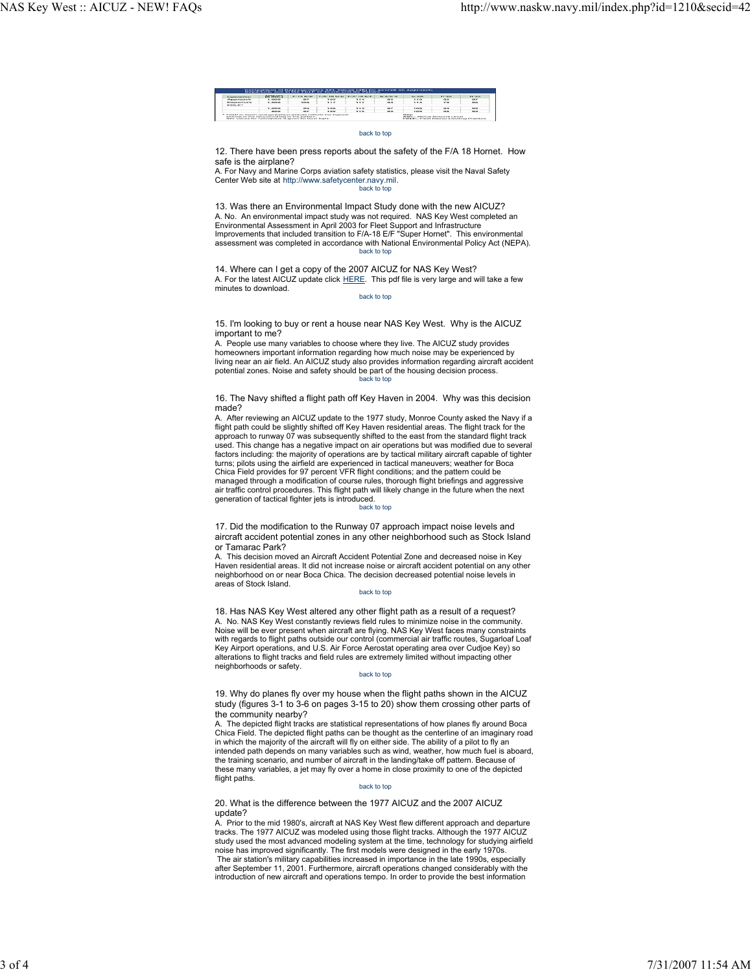| Generations                                                                                                                                                                           | <b>OUTSERS</b> | $P - 1 - 1$ (3/12) | F/A-18 C/D F/A-18 E/F |        | <b>ALCOHOL: NO ANNO</b> | $G - B$                                                                                                       | <b>But a finally</b> | <b>MARINER</b> |
|---------------------------------------------------------------------------------------------------------------------------------------------------------------------------------------|----------------|--------------------|-----------------------|--------|-------------------------|---------------------------------------------------------------------------------------------------------------|----------------------|----------------|
| <b><i>Charles Construction</i></b>                                                                                                                                                    | 1.0000         | $-$                | 3.4333                | 114    | <b>All for</b>          | 770                                                                                                           | <b>CALCULA</b>       | <b>DO</b>      |
| <b>Photographical control</b>                                                                                                                                                         | 1.000          | <b>ACCORD</b>      | 337                   | 112    | $Q = 0$                 | $7.7 - 1.0$                                                                                                   | 79                   | $-$            |
| <b>STATISTICS</b>                                                                                                                                                                     |                |                    |                       |        |                         |                                                                                                               |                      |                |
|                                                                                                                                                                                       | 1.0000         | <b>TATH</b>        | 3.63.83               | 3.3.79 | <b>COLUMN</b>           | 3,000                                                                                                         | <b>CALCULA</b>       | 52.00          |
|                                                                                                                                                                                       | <b>BACKS</b>   | $\alpha$           | <b>Branch</b>         |        | <b>COLOR</b>            | <b>ALCOHOL</b>                                                                                                | <b>COLOR</b>         | 62             |
| T. EXILIP OF TOURIS GOVERN GATERING ASSAULT CONGRESS TOO DIVISIONS<br>adjusted of the departmented team of the methods.<br>SAIL WAS one for Departmentate in closer for beyon Boylet. |                |                    |                       |        |                         | <b>Brigance</b><br><b>Arist - Aristoph Florisson's Lewish</b><br>FOTA Eta Escala Canadas I producto Escalaban |                      |                |

### back to top

12. There have been press reports about the safety of the F/A 18 Hornet. How safe is the airplane?

A. For Navy and Marine Corps aviation safety statistics, please visit the Naval Safety Center Web site at http://www.safetycenter.navy.mil. back to top

13. Was there an Environmental Impact Study done with the new AICUZ? A. No. An environmental impact study was not required. NAS Key West completed an Environmental Assessment in April 2003 for Fleet Support and Infrastructure<br>Improvements that included transition to F/A-18 E/F "Super Hornet". This environmental<br>assessment was completed in accordance with National Enviro back to top

14. Where can I get a copy of the 2007 AICUZ for NAS Key West? A. For the latest AICUZ update click HERE. This pdf file is very large and will take a few minutes to download.

#### back to top

15. I'm looking to buy or rent a house near NAS Key West. Why is the AICUZ important to me?

A. People use many variables to choose where they live. The AICUZ study provides homeowners important information regarding how much noise may be experienced by living near an air field. An AICUZ study also provides information regarding aircraft accident potential zones. Noise and safety should be part of the housing decision process. back to top

#### 16. The Navy shifted a flight path off Key Haven in 2004. Why was this decision made?

A. After reviewing an AICUZ update to the 1977 study, Monroe County asked the Navy if a flight path could be slightly shifted off Key Haven residential areas. The flight track for the approach to runway 07 was subsequently shifted to the east from the standard flight track used. This change has a negative impact on air operations but was modified due to several factors including: the majority of operations are by tactical military aircraft capable of tighter turns; pilots using the airfield are experienced in tactical maneuvers; weather for Boca Chica Field provides for 97 percent VFR flight conditions; and the pattern could be managed through a modification of course rules, thorough flight briefings and aggressive<br>air traffic control procedures. This flight path will likely change in the future when the next<br>generation of tactical fighter jets i

#### back to top

17. Did the modification to the Runway 07 approach impact noise levels and aircraft accident potential zones in any other neighborhood such as Stock Island or Tamarac Park?

A. This decision moved an Aircraft Accident Potential Zone and decreased noise in Key Haven residential areas. It did not increase noise or aircraft accident potential on any other neighborhood on or near Boca Chica. The decision decreased potential noise levels in areas of Stock Island.

#### back to top

18. Has NAS Key West altered any other flight path as a result of a request? A. No. NAS Key West constantly reviews field rules to minimize noise in the community. Noise will be ever present when aircraft are flying. NAS Key West faces many constraints with regards to flight paths outside our control (commercial air traffic routes, Sugarloaf Loaf Key Airport operations, and U.S. Air Force Aerostat operating area over Cudjoe Key) so alterations to flight tracks and field rules are extremely limited without impacting other neighborhoods or safety.

#### back to top

19. Why do planes fly over my house when the flight paths shown in the AICUZ study (figures 3-1 to 3-6 on pages 3-15 to 20) show them crossing other parts of the community nearby?

A. The depicted flight tracks are statistical representations of how planes fly around Boca Chica Field. The depicted flight paths can be thought as the centerline of an imaginary road in which the majority of the aircraft will fly on either side. The ability of a pilot to fly an intended path depends on many variables such as wind, weather, how much fuel is aboard, the training scenario, and number of aircraft in the landing/take off pattern. Because of these many variables, a jet may fly over a home in close proximity to one of the depicted flight paths.

## back to top

20. What is the difference between the 1977 AICUZ and the 2007 AICUZ update?

A. Prior to the mid 1980's, aircraft at NAS Key West flew different approach and departure tracks. The 1977 AICUZ was modeled using those flight tracks. Although the 1977 AICUZ study used the most advanced modeling system at the time, technology for studying airfield noise has improved significantly. The first models were designed in the early 1970s. The air station's military capabilities increased in importance in the late 1990s, especially after September 11, 2001. Furthermore, aircraft operations changed considerably with the introduction of new aircraft and operations tempo. In order to provide the best information